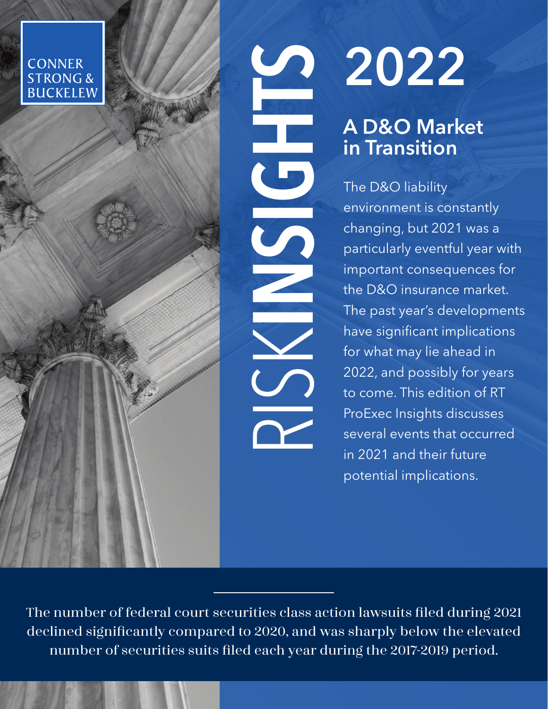**CONNER STRONG & BUCKELEW** 

# 2022

# A D&O Market in Transition

The D&O liability environment is constantly changing, but 2021 was a particularly eventful year with important consequences for the D&O insurance market. The past year's developments have significant implications for what may lie ahead in 2022, and possibly for years to come. This edition of RT ProExec Insights discusses several events that occurred in 2021 and their future potential implications.

The number of federal court securities class action lawsuits filed during 2021 declined significantly compared to 2020, and was sharply below the elevated number of securities suits filed each year during the 2017-2019 period.

RISKIS O

LE CONTROLLER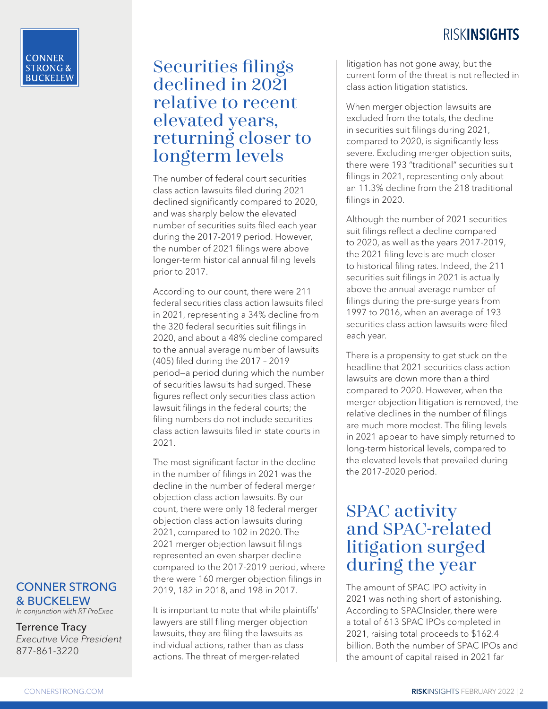## Securities filings declined in 2021 relative to recent elevated years, returning closer to longterm levels

The number of federal court securities class action lawsuits filed during 2021 declined significantly compared to 2020, and was sharply below the elevated number of securities suits filed each year during the 2017-2019 period. However, the number of 2021 filings were above longer-term historical annual filing levels prior to 2017.

According to our count, there were 211 federal securities class action lawsuits filed in 2021, representing a 34% decline from the 320 federal securities suit filings in 2020, and about a 48% decline compared to the annual average number of lawsuits (405) filed during the 2017 – 2019 period—a period during which the number of securities lawsuits had surged. These figures reflect only securities class action lawsuit filings in the federal courts; the filing numbers do not include securities class action lawsuits filed in state courts in 2021.

The most significant factor in the decline in the number of filings in 2021 was the decline in the number of federal merger objection class action lawsuits. By our count, there were only 18 federal merger objection class action lawsuits during 2021, compared to 102 in 2020. The 2021 merger objection lawsuit filings represented an even sharper decline compared to the 2017-2019 period, where there were 160 merger objection filings in 2019, 182 in 2018, and 198 in 2017.

It is important to note that while plaintiffs' lawyers are still filing merger objection lawsuits, they are filing the lawsuits as individual actions, rather than as class actions. The threat of merger-related

litigation has not gone away, but the current form of the threat is not reflected in class action litigation statistics.

When merger objection lawsuits are excluded from the totals, the decline in securities suit filings during 2021, compared to 2020, is significantly less severe. Excluding merger objection suits, there were 193 "traditional" securities suit filings in 2021, representing only about an 11.3% decline from the 218 traditional filings in 2020.

Although the number of 2021 securities suit filings reflect a decline compared to 2020, as well as the years 2017-2019, the 2021 filing levels are much closer to historical filing rates. Indeed, the 211 securities suit filings in 2021 is actually above the annual average number of filings during the pre-surge years from 1997 to 2016, when an average of 193 securities class action lawsuits were filed each year.

There is a propensity to get stuck on the headline that 2021 securities class action lawsuits are down more than a third compared to 2020. However, when the merger objection litigation is removed, the relative declines in the number of filings are much more modest. The filing levels in 2021 appear to have simply returned to long-term historical levels, compared to the elevated levels that prevailed during the 2017-2020 period.

## SPAC activity and SPAC-related litigation surged during the year

The amount of SPAC IPO activity in 2021 was nothing short of astonishing. According to SPACInsider, there were a total of 613 SPAC IPOs completed in 2021, raising total proceeds to \$162.4 billion. Both the number of SPAC IPOs and the amount of capital raised in 2021 far

#### CONNER STRONG & BUCKELEW

*In conjunction with RT ProExec*

#### Terrence Tracy *Executive Vice President* 877-861-3220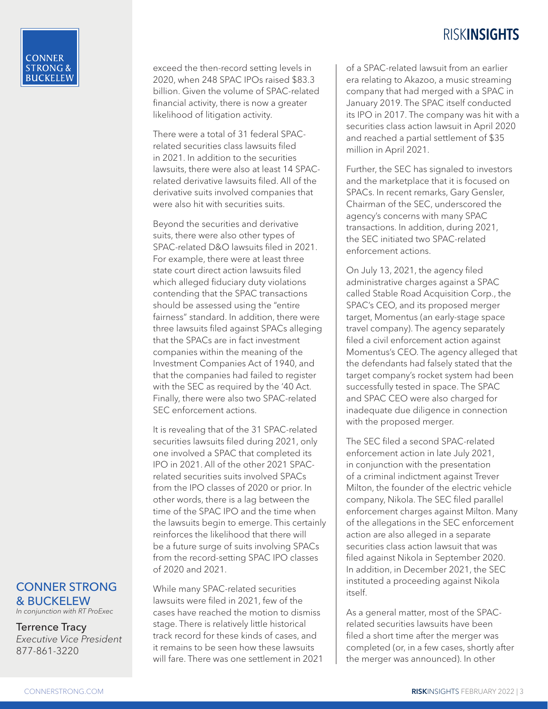exceed the then-record setting levels in 2020, when 248 SPAC IPOs raised \$83.3 billion. Given the volume of SPAC-related financial activity, there is now a greater likelihood of litigation activity.

There were a total of 31 federal SPACrelated securities class lawsuits filed in 2021. In addition to the securities lawsuits, there were also at least 14 SPACrelated derivative lawsuits filed. All of the derivative suits involved companies that were also hit with securities suits.

Beyond the securities and derivative suits, there were also other types of SPAC-related D&O lawsuits filed in 2021. For example, there were at least three state court direct action lawsuits filed which alleged fiduciary duty violations contending that the SPAC transactions should be assessed using the "entire fairness" standard. In addition, there were three lawsuits filed against SPACs alleging that the SPACs are in fact investment companies within the meaning of the Investment Companies Act of 1940, and that the companies had failed to register with the SEC as required by the '40 Act. Finally, there were also two SPAC-related SEC enforcement actions.

It is revealing that of the 31 SPAC-related securities lawsuits filed during 2021, only one involved a SPAC that completed its IPO in 2021. All of the other 2021 SPACrelated securities suits involved SPACs from the IPO classes of 2020 or prior. In other words, there is a lag between the time of the SPAC IPO and the time when the lawsuits begin to emerge. This certainly reinforces the likelihood that there will be a future surge of suits involving SPACs from the record-setting SPAC IPO classes of 2020 and 2021.

While many SPAC-related securities lawsuits were filed in 2021, few of the cases have reached the motion to dismiss stage. There is relatively little historical track record for these kinds of cases, and it remains to be seen how these lawsuits will fare. There was one settlement in 2021 of a SPAC-related lawsuit from an earlier era relating to Akazoo, a music streaming company that had merged with a SPAC in January 2019. The SPAC itself conducted its IPO in 2017. The company was hit with a securities class action lawsuit in April 2020 and reached a partial settlement of \$35 million in April 2021.

Further, the SEC has signaled to investors and the marketplace that it is focused on SPACs. In recent remarks, Gary Gensler, Chairman of the SEC, underscored the agency's concerns with many SPAC transactions. In addition, during 2021, the SEC initiated two SPAC-related enforcement actions.

On July 13, 2021, the agency filed administrative charges against a SPAC called Stable Road Acquisition Corp., the SPAC's CEO, and its proposed merger target, Momentus (an early-stage space travel company). The agency separately filed a civil enforcement action against Momentus's CEO. The agency alleged that the defendants had falsely stated that the target company's rocket system had been successfully tested in space. The SPAC and SPAC CEO were also charged for inadequate due diligence in connection with the proposed merger.

The SEC filed a second SPAC-related enforcement action in late July 2021, in conjunction with the presentation of a criminal indictment against Trever Milton, the founder of the electric vehicle company, Nikola. The SEC filed parallel enforcement charges against Milton. Many of the allegations in the SEC enforcement action are also alleged in a separate securities class action lawsuit that was filed against Nikola in September 2020. In addition, in December 2021, the SEC instituted a proceeding against Nikola itself.

As a general matter, most of the SPACrelated securities lawsuits have been filed a short time after the merger was completed (or, in a few cases, shortly after the merger was announced). In other

#### CONNER STRONG & BUCKELEW

*In conjunction with RT ProExec*

Terrence Tracy *Executive Vice President*

877-861-3220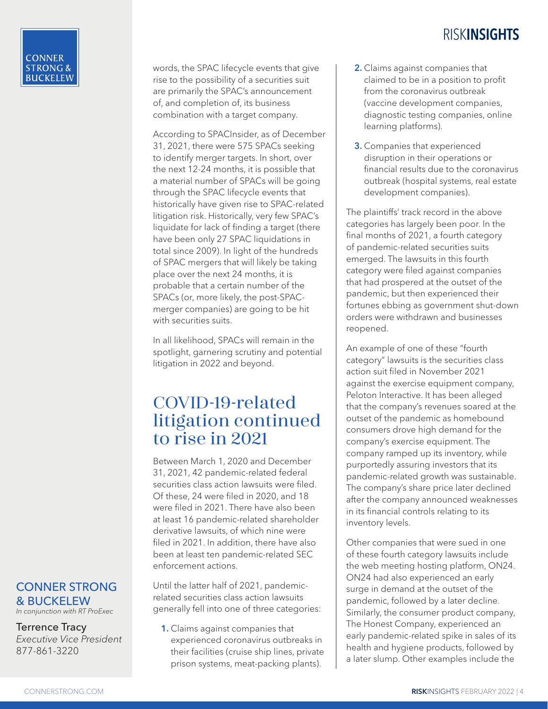words, the SPAC lifecycle events that give rise to the possibility of a securities suit are primarily the SPAC's announcement of, and completion of, its business combination with a target company.

According to SPACInsider, as of December 31, 2021, there were 575 SPACs seeking to identify merger targets. In short, over the next 12-24 months, it is possible that a material number of SPACs will be going through the SPAC lifecycle events that historically have given rise to SPAC-related litigation risk. Historically, very few SPAC's liquidate for lack of finding a target (there have been only 27 SPAC liquidations in total since 2009). In light of the hundreds of SPAC mergers that will likely be taking place over the next 24 months, it is probable that a certain number of the SPACs (or, more likely, the post-SPACmerger companies) are going to be hit with securities suits.

In all likelihood, SPACs will remain in the spotlight, garnering scrutiny and potential litigation in 2022 and beyond.

## COVID-19-related litigation continued to rise in 2021

Between March 1, 2020 and December 31, 2021, 42 pandemic-related federal securities class action lawsuits were filed. Of these, 24 were filed in 2020, and 18 were filed in 2021. There have also been at least 16 pandemic-related shareholder derivative lawsuits, of which nine were filed in 2021. In addition, there have also been at least ten pandemic-related SEC enforcement actions.

Until the latter half of 2021, pandemicrelated securities class action lawsuits generally fell into one of three categories:

1. Claims against companies that experienced coronavirus outbreaks in their facilities (cruise ship lines, private prison systems, meat-packing plants).

- 2. Claims against companies that claimed to be in a position to profit from the coronavirus outbreak (vaccine development companies, diagnostic testing companies, online learning platforms).
- **3.** Companies that experienced disruption in their operations or financial results due to the coronavirus outbreak (hospital systems, real estate development companies).

The plaintiffs' track record in the above categories has largely been poor. In the final months of 2021, a fourth category of pandemic-related securities suits emerged. The lawsuits in this fourth category were filed against companies that had prospered at the outset of the pandemic, but then experienced their fortunes ebbing as government shut-down orders were withdrawn and businesses reopened.

An example of one of these "fourth category" lawsuits is the securities class action suit filed in November 2021 against the exercise equipment company, Peloton Interactive. It has been alleged that the company's revenues soared at the outset of the pandemic as homebound consumers drove high demand for the company's exercise equipment. The company ramped up its inventory, while purportedly assuring investors that its pandemic-related growth was sustainable. The company's share price later declined after the company announced weaknesses in its financial controls relating to its inventory levels.

Other companies that were sued in one of these fourth category lawsuits include the web meeting hosting platform, ON24. ON24 had also experienced an early surge in demand at the outset of the pandemic, followed by a later decline. Similarly, the consumer product company, The Honest Company, experienced an early pandemic-related spike in sales of its health and hygiene products, followed by a later slump. Other examples include the

#### CONNER STRONG & BUCKELEW

*In conjunction with RT ProExec*

Terrence Tracy

*Executive Vice President* 877-861-3220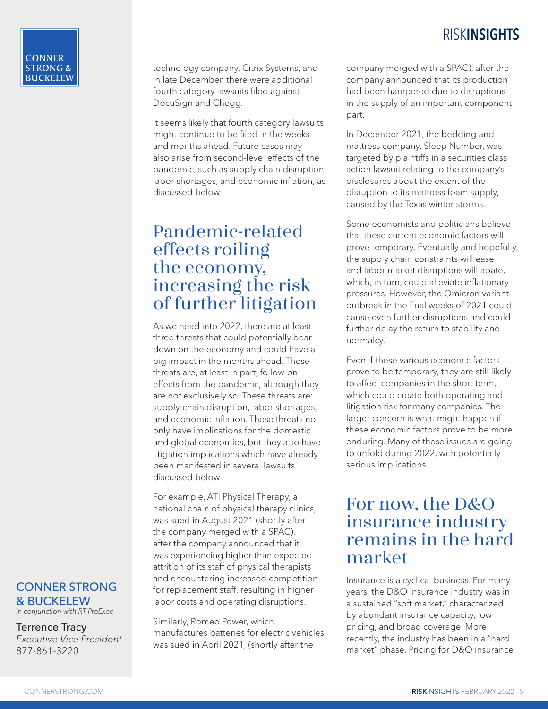technology company, Citrix Systems, and in late December, there were additional fourth category lawsuits filed against DocuSign and Chegg.

It seems likely that fourth category lawsuits might continue to be filed in the weeks and months ahead. Future cases may also arise from second-level effects of the pandemic, such as supply chain disruption, labor shortages, and economic inflation, as discussed below.

## Pandemic-related effects roiling the economy, increasing the risk of further litigation

As we head into 2022, there are at least three threats that could potentially bear down on the economy and could have a big impact in the months ahead. These threats are, at least in part, follow-on effects from the pandemic, although they are not exclusively so. These threats are: supply-chain disruption, labor shortages, and economic inflation. These threats not only have implications for the domestic and global economies, but they also have litigation implications which have already been manifested in several lawsuits discussed below.

For example, ATI Physical Therapy, a national chain of physical therapy clinics, was sued in August 2021 (shortly after the company merged with a SPAC), after the company announced that it was experiencing higher than expected attrition of its staff of physical therapists and encountering increased competition for replacement staff, resulting in higher labor costs and operating disruptions.

Similarly, Romeo Power, which manufactures batteries for electric vehicles, was sued in April 2021, (shortly after the

company merged with a SPAC), after the company announced that its production had been hampered due to disruptions in the supply of an important component part.

In December 2021, the bedding and mattress company, Sleep Number, was targeted by plaintiffs in a securities class action lawsuit relating to the company's disclosures about the extent of the disruption to its mattress foam supply, caused by the Texas winter storms.

Some economists and politicians believe that these current economic factors will prove temporary. Eventually and hopefully, the supply chain constraints will ease and labor market disruptions will abate, which, in turn, could alleviate inflationary pressures. However, the Omicron variant outbreak in the final weeks of 2021 could cause even further disruptions and could further delay the return to stability and normalcy.

Even if these various economic factors prove to be temporary, they are still likely to affect companies in the short term, which could create both operating and litigation risk for many companies. The larger concern is what might happen if these economic factors prove to be more enduring. Many of these issues are going to unfold during 2022, with potentially serious implications.

## For now, the D&O insurance industry remains in the hard market

Insurance is a cyclical business. For many years, the D&O insurance industry was in a sustained "soft market," characterized by abundant insurance capacity, low pricing, and broad coverage. More recently, the industry has been in a "hard market" phase. Pricing for D&O insurance

#### CONNER STRONG & BUCKELEW

*In conjunction with RT ProExec*

Terrence Tracy

*Executive Vice President* 877-861-3220